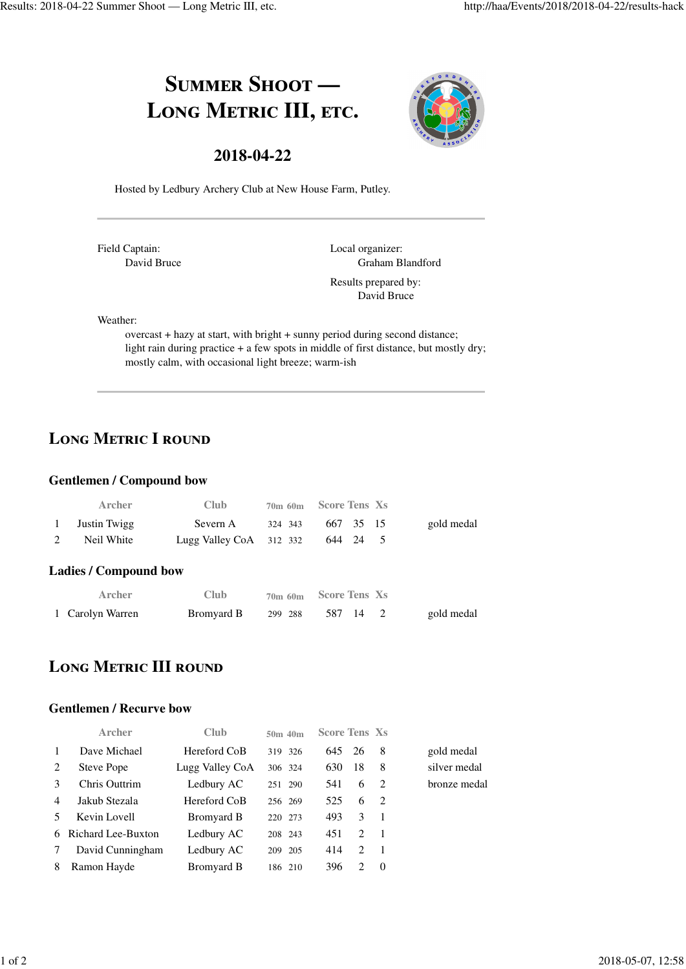## SUMMER SHOOT -LONG METRIC III, ETC.



### **2018-04-22**

Hosted by Ledbury Archery Club at New House Farm, Putley.

Field Captain: David Bruce Local organizer: Graham Blandford Results prepared by: David Bruce

Weather:

overcast + hazy at start, with bright + sunny period during second distance; light rain during practice + a few spots in middle of first distance, but mostly dry; mostly calm, with occasional light breeze; warm-ish

### LONG METRIC I ROUND

### **Gentlemen / Compound bow**

| Archer         | Club                             |         | 70m 60m Score Tens Xs |            |
|----------------|----------------------------------|---------|-----------------------|------------|
| 1 Justin Twigg | Severn A                         | 324 343 | 667 35 15             | gold medal |
| Neil White     | Lugg Valley CoA 312 332 644 24 5 |         |                       |            |

#### **Ladies / Compound bow**

| Archer           | Club       |         | 70m 60m Score Tens Xs |            |
|------------------|------------|---------|-----------------------|------------|
| 1 Carolyn Warren | Bromyard B | 299 288 | 587 14                | gold medal |

### **LONG METRIC III ROUND**

#### **Gentlemen / Recurve bow**

| Archer           | Club                 | $50m$ 40 $m$ |     |                             |                |                      |
|------------------|----------------------|--------------|-----|-----------------------------|----------------|----------------------|
| Dave Michael     | Hereford CoB         | 319 326      | 645 |                             | -8             | gold medal           |
| Steve Pope       | Lugg Valley CoA      | 306 324      | 630 | 18                          | 8              | silver medal         |
| Chris Outtrim    | Ledbury AC           | 251 290      | 541 | 6                           | $\overline{2}$ | bronze medal         |
| Jakub Stezala    | Hereford CoB         | 256 269      | 525 | 6                           | $\overline{2}$ |                      |
| Kevin Lovell     | Bromyard B           | 220 273      | 493 | 3                           | $\overline{1}$ |                      |
|                  | Ledbury AC           | 208 243      | 451 | $\mathcal{D}_{\mathcal{L}}$ | $\overline{1}$ |                      |
| David Cunningham | Ledbury AC           | 205<br>209   | 414 | $\mathcal{D}_{\mathcal{L}}$ | $\overline{1}$ |                      |
| Ramon Hayde      | Bromyard B           | 186 210      | 396 | 2                           | $\Omega$       |                      |
|                  | 6 Richard Lee-Buxton |              |     |                             | - 26           | <b>Score Tens Xs</b> |